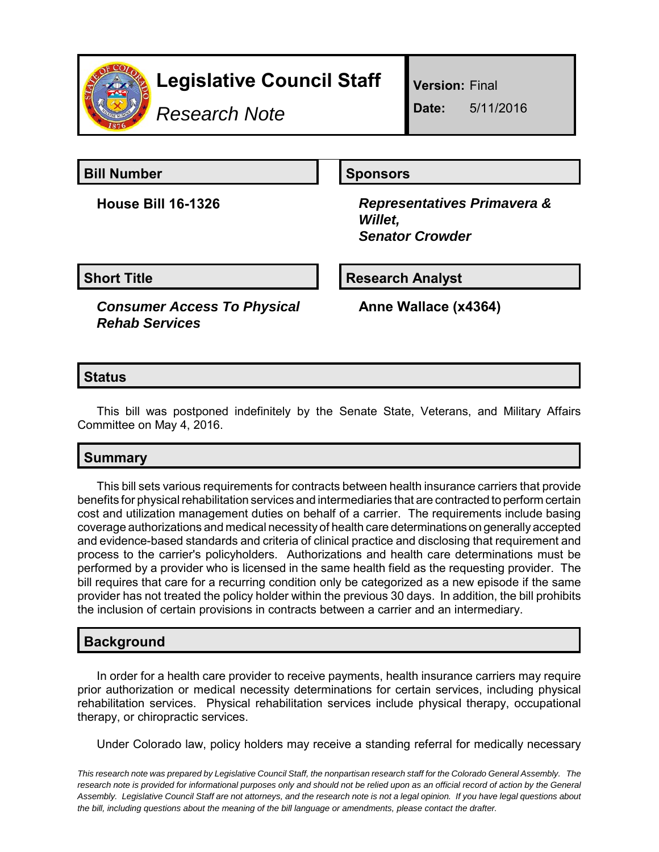

## **Legislative Council Staff**

*Research Note*

**Version:** Final

**Date:** 5/11/2016

**Bill Number Sponsors** 

**House Bill 16-1326** *Representatives Primavera & Willet, Senator Crowder*

**Short Title Research Analyst** 

*Consumer Access To Physical Rehab Services*

**Anne Wallace (x4364)**

#### **Status**

This bill was postponed indefinitely by the Senate State, Veterans, and Military Affairs Committee on May 4, 2016.

#### **Summary**

This bill sets various requirements for contracts between health insurance carriers that provide benefits for physical rehabilitation services and intermediaries that are contracted to perform certain cost and utilization management duties on behalf of a carrier. The requirements include basing coverage authorizations and medical necessity of health care determinations on generally accepted and evidence-based standards and criteria of clinical practice and disclosing that requirement and process to the carrier's policyholders. Authorizations and health care determinations must be performed by a provider who is licensed in the same health field as the requesting provider. The bill requires that care for a recurring condition only be categorized as a new episode if the same provider has not treated the policy holder within the previous 30 days. In addition, the bill prohibits the inclusion of certain provisions in contracts between a carrier and an intermediary.

#### **Background**

In order for a health care provider to receive payments, health insurance carriers may require prior authorization or medical necessity determinations for certain services, including physical rehabilitation services. Physical rehabilitation services include physical therapy, occupational therapy, or chiropractic services.

Under Colorado law, policy holders may receive a standing referral for medically necessary

*This research note was prepared by Legislative Council Staff, the nonpartisan research staff for the Colorado General Assembly. The research note is provided for informational purposes only and should not be relied upon as an official record of action by the General Assembly. Legislative Council Staff are not attorneys, and the research note is not a legal opinion. If you have legal questions about the bill, including questions about the meaning of the bill language or amendments, please contact the drafter.*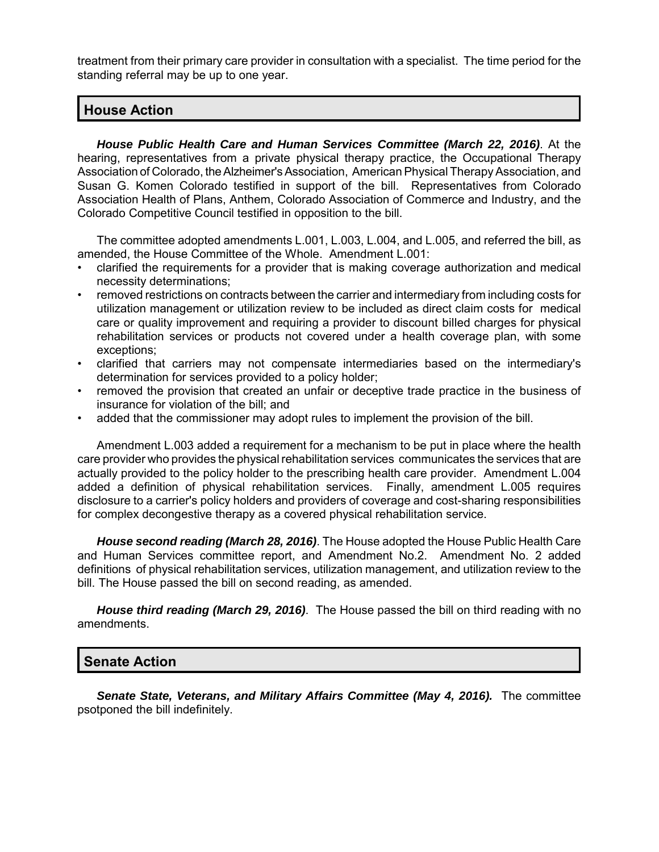treatment from their primary care provider in consultation with a specialist. The time period for the standing referral may be up to one year.

#### **House Action**

*House Public Health Care and Human Services Committee (March 22, 2016)*. At the hearing, representatives from a private physical therapy practice, the Occupational Therapy Association of Colorado, the Alzheimer's Association, American Physical Therapy Association, and Susan G. Komen Colorado testified in support of the bill. Representatives from Colorado Association Health of Plans, Anthem, Colorado Association of Commerce and Industry, and the Colorado Competitive Council testified in opposition to the bill.

The committee adopted amendments L.001, L.003, L.004, and L.005, and referred the bill, as amended, the House Committee of the Whole. Amendment L.001:

- clarified the requirements for a provider that is making coverage authorization and medical necessity determinations;
- removed restrictions on contracts between the carrier and intermediary from including costs for utilization management or utilization review to be included as direct claim costs for medical care or quality improvement and requiring a provider to discount billed charges for physical rehabilitation services or products not covered under a health coverage plan, with some exceptions;
- clarified that carriers may not compensate intermediaries based on the intermediary's determination for services provided to a policy holder;
- removed the provision that created an unfair or deceptive trade practice in the business of insurance for violation of the bill; and
- added that the commissioner may adopt rules to implement the provision of the bill.

Amendment L.003 added a requirement for a mechanism to be put in place where the health care provider who provides the physical rehabilitation services communicates the services that are actually provided to the policy holder to the prescribing health care provider. Amendment L.004 added a definition of physical rehabilitation services. Finally, amendment L.005 requires disclosure to a carrier's policy holders and providers of coverage and cost-sharing responsibilities for complex decongestive therapy as a covered physical rehabilitation service.

*House second reading (March 28, 2016)*. The House adopted the House Public Health Care and Human Services committee report, and Amendment No.2. Amendment No. 2 added definitions of physical rehabilitation services, utilization management, and utilization review to the bill. The House passed the bill on second reading, as amended.

*House third reading (March 29, 2016)*. The House passed the bill on third reading with no amendments.

#### **Senate Action**

*Senate State, Veterans, and Military Affairs Committee (May 4, 2016).* The committee psotponed the bill indefinitely.